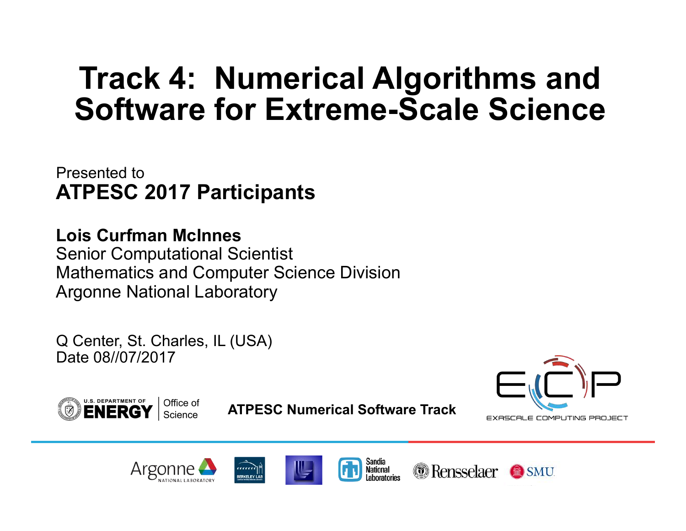Presented to **ATPESC 2017 Participants** 

**Lois Curfman McInnes** Senior Computational Scientist Mathematics and Computer Science Division Argonne National Laboratory

Q Center, St. Charles, IL (USA) Date 08//07/2017

EXASCALE COMPUTING PROJECT



**ATPESC Numerical Software Track** 

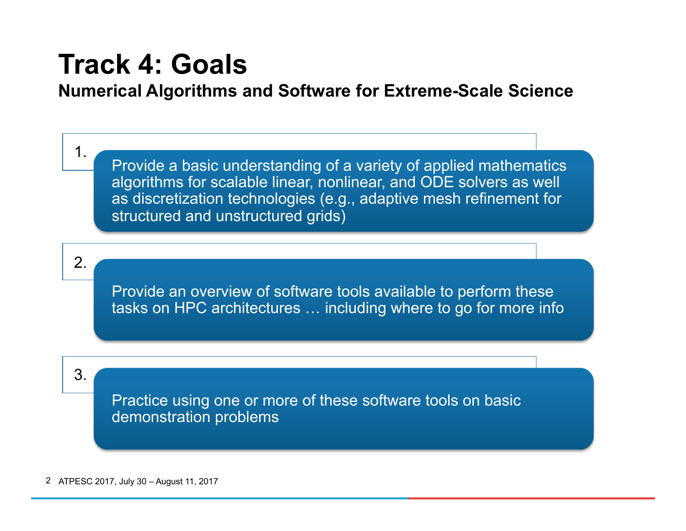## **Track 4: Goals**

### **Numerical Algorithms and Software for Extreme-Scale Science**

1.

Provide a basic understanding of a variety of applied mathematics algorithms for scalable linear, nonlinear, and ODE solvers as well as discretization technologies (e.g., adaptive mesh refinement for structured and unstructured grids)

2.

Provide an overview of software tools available to perform these tasks on HPC architectures … including where to go for more info

3.

Practice using one or more of these software tools on basic demonstration problems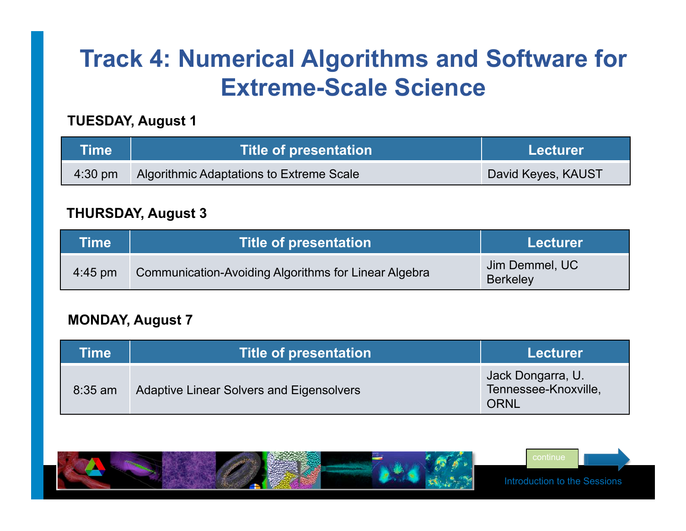#### **TUESDAY, August 1**

| <b>Time</b> | <b>Title of presentation</b>             | Lecturer           |
|-------------|------------------------------------------|--------------------|
| $4:30$ pm   | Algorithmic Adaptations to Extreme Scale | David Keyes, KAUST |

#### **THURSDAY, August 3**

| Time              | <b>Title of presentation</b>                         | <b>Lecturer</b>                   |
|-------------------|------------------------------------------------------|-----------------------------------|
| $4:45 \text{ pm}$ | Communication-Avoiding Algorithms for Linear Algebra | Jim Demmel, UC<br><b>Berkeley</b> |

#### **MONDAY, August 7**

| Time      | Title of presentation                           | Lecturer                                          |
|-----------|-------------------------------------------------|---------------------------------------------------|
| $8:35$ am | <b>Adaptive Linear Solvers and Eigensolvers</b> | Jack Dongarra, U.<br>Tennessee-Knoxville,<br>ORNL |



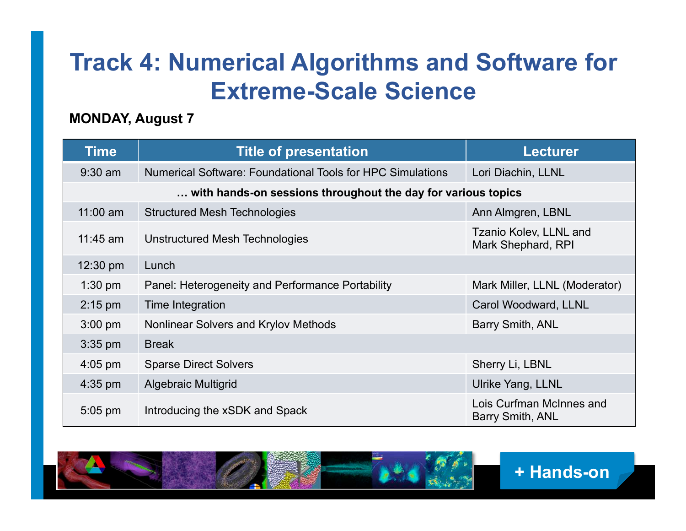#### **MONDAY, August 7**

| <b>Time</b>                                                  | <b>Title of presentation</b>                               | <b>Lecturer</b>                              |  |
|--------------------------------------------------------------|------------------------------------------------------------|----------------------------------------------|--|
| $9:30$ am                                                    | Numerical Software: Foundational Tools for HPC Simulations | Lori Diachin, LLNL                           |  |
| with hands-on sessions throughout the day for various topics |                                                            |                                              |  |
| $11:00$ am                                                   | <b>Structured Mesh Technologies</b>                        | Ann Almgren, LBNL                            |  |
| $11:45$ am                                                   | Unstructured Mesh Technologies                             | Tzanio Kolev, LLNL and<br>Mark Shephard, RPI |  |
| 12:30 pm                                                     | Lunch                                                      |                                              |  |
| $1:30$ pm                                                    | Panel: Heterogeneity and Performance Portability           | Mark Miller, LLNL (Moderator)                |  |
| $2:15$ pm                                                    | Time Integration                                           | Carol Woodward, LLNL                         |  |
| $3:00$ pm                                                    | Nonlinear Solvers and Krylov Methods                       | Barry Smith, ANL                             |  |
| $3:35$ pm                                                    | <b>Break</b>                                               |                                              |  |
| $4:05$ pm                                                    | <b>Sparse Direct Solvers</b>                               | Sherry Li, LBNL                              |  |
| $4:35$ pm                                                    | <b>Algebraic Multigrid</b>                                 | Ulrike Yang, LLNL                            |  |
| $5:05$ pm                                                    | Introducing the xSDK and Spack                             | Lois Curfman McInnes and<br>Barry Smith, ANL |  |